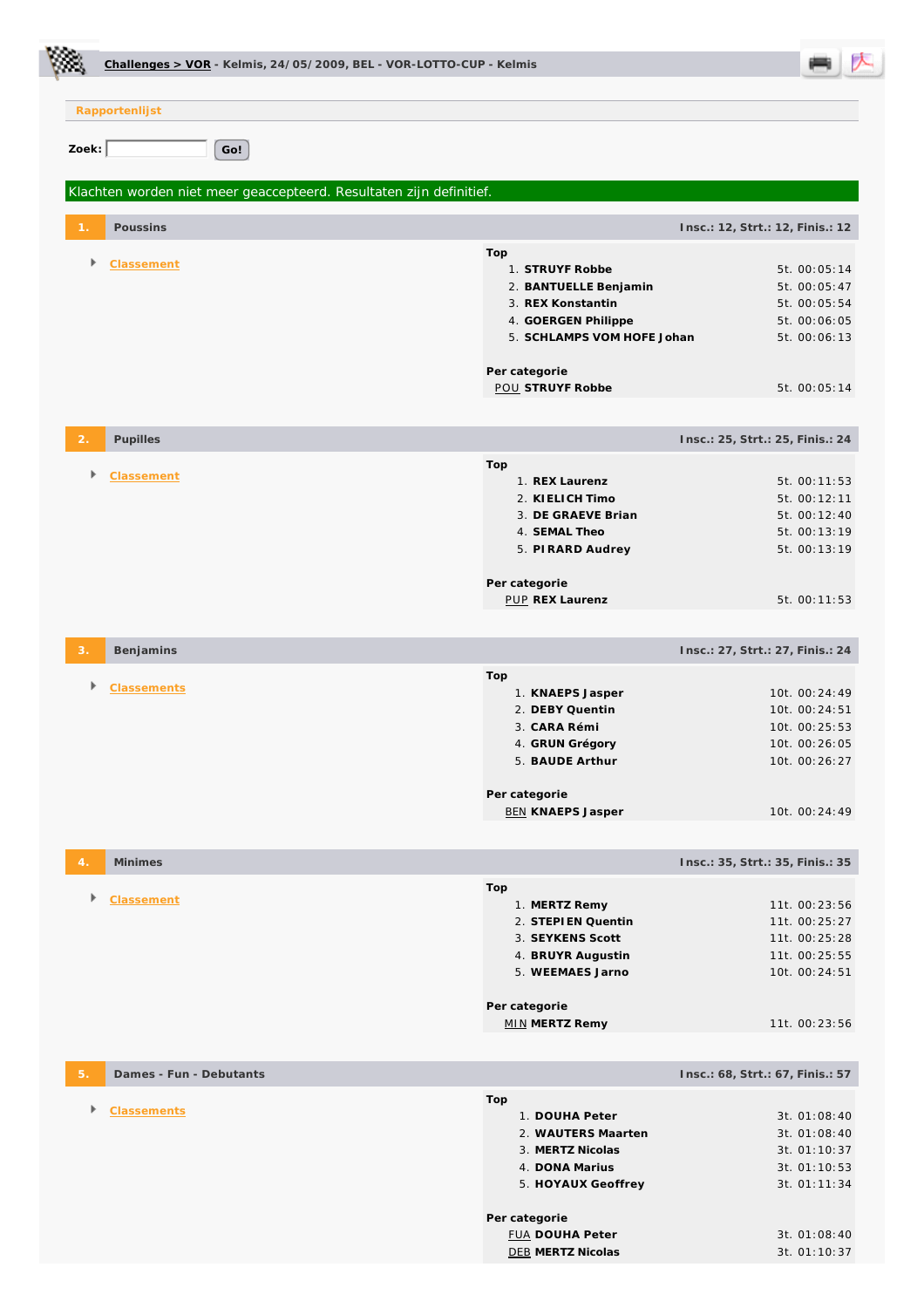|                | Challenges > VOR - Kelmis, 24/05/2009, BEL - VOR-LOTTO-CUP - Kelmis |                                                                                                                                                                         |                                                                                                              |  |  |  |
|----------------|---------------------------------------------------------------------|-------------------------------------------------------------------------------------------------------------------------------------------------------------------------|--------------------------------------------------------------------------------------------------------------|--|--|--|
|                | Rapportenlijst                                                      |                                                                                                                                                                         |                                                                                                              |  |  |  |
| Zoek:          | Go!                                                                 |                                                                                                                                                                         |                                                                                                              |  |  |  |
|                | Klachten worden niet meer geaccepteerd. Resultaten zijn definitief. |                                                                                                                                                                         |                                                                                                              |  |  |  |
|                | Poussins                                                            | Insc.: 12, Strt.: 12, Finis.: 12                                                                                                                                        |                                                                                                              |  |  |  |
| Þ              | Classement                                                          | Top<br>1. STRUYF Robbe<br>2. BANTUELLE Benjamin<br>3. REX Konstantin<br>4. GOERGEN Philippe<br>5. SCHLAMPS VOM HOFE Johan<br>Per categorie<br><b>POU STRUYF Robbe</b>   | 5t. 00:05:14<br>5t. 00:05:47<br>5t. 00:05:54<br>5t. 00:06:05<br>5t. 00:06:13<br>5t. 00:05:14                 |  |  |  |
|                | Pupilles                                                            | Insc.: 25, Strt.: 25, Finis.: 24                                                                                                                                        |                                                                                                              |  |  |  |
| Þ.             | Classement                                                          | Top<br>1. REX Laurenz<br>2. KIELICH Timo<br>3. DE GRAEVE Brian<br>4. SEMAL Theo<br>5. PIRARD Audrey<br>Per categorie<br>PUP REX Laurenz                                 | 5t. 00:11:53<br>5t. 00:12:11<br>5t. 00:12:40<br>5t. 00:13:19<br>5t. 00:13:19<br>5t. 00:11:53                 |  |  |  |
|                | Benjamins                                                           | Insc.: 27, Strt.: 27, Finis.: 24                                                                                                                                        |                                                                                                              |  |  |  |
|                | <b>Classements</b>                                                  | Top<br>1. KNAEPS Jasper<br>2. DEBY Quentin<br>3. CARA Rémi<br>4. GRUN Grégory<br>5. BAUDE Arthur<br>Per categorie<br><b>BEN KNAEPS Jasper</b>                           | 10t. 00:24:49<br>10t. 00:24:51<br>10t. 00:25:53<br>10t. 00:26:05<br>10t. 00:26:27<br>10t. 00:24:49           |  |  |  |
| $\overline{4}$ | <b>Minimes</b>                                                      | Insc.: 35, Strt.: 35, Finis.: 35                                                                                                                                        |                                                                                                              |  |  |  |
|                | Classement                                                          | Top<br>1. MERTZ Remy<br>2. STEPIEN Quentin<br>3. SEYKENS Scott<br>4. BRUYR Augustin<br>5. WEEMAES Jarno                                                                 | 11t. 00:23:56<br>11t. 00:25:27<br>11t. 00:25:28<br>11t. 00:25:55<br>10t. 00:24:51                            |  |  |  |
|                |                                                                     | Per categorie<br><b>MIN MERTZ Remy</b>                                                                                                                                  | 11t. 00:23:56                                                                                                |  |  |  |
| 5.             | Dames - Fun - Debutants                                             | Insc.: 68, Strt.: 67, Finis.: 57                                                                                                                                        |                                                                                                              |  |  |  |
| Þ              | Classements                                                         | Top<br>1. DOUHA Peter<br>2. WAUTERS Maarten<br>3. MERTZ Nicolas<br>4. DONA Marius<br>5. HOYAUX Geoffrey<br>Per categorie<br><b>FUA DOUHA Peter</b><br>DEB MERTZ Nicolas | 3t. 01:08:40<br>3t. 01:08:40<br>3t. 01:10:37<br>3t. 01:10:53<br>3t. 01:11:34<br>3t. 01:08:40<br>3t. 01:10:37 |  |  |  |

Ċ.